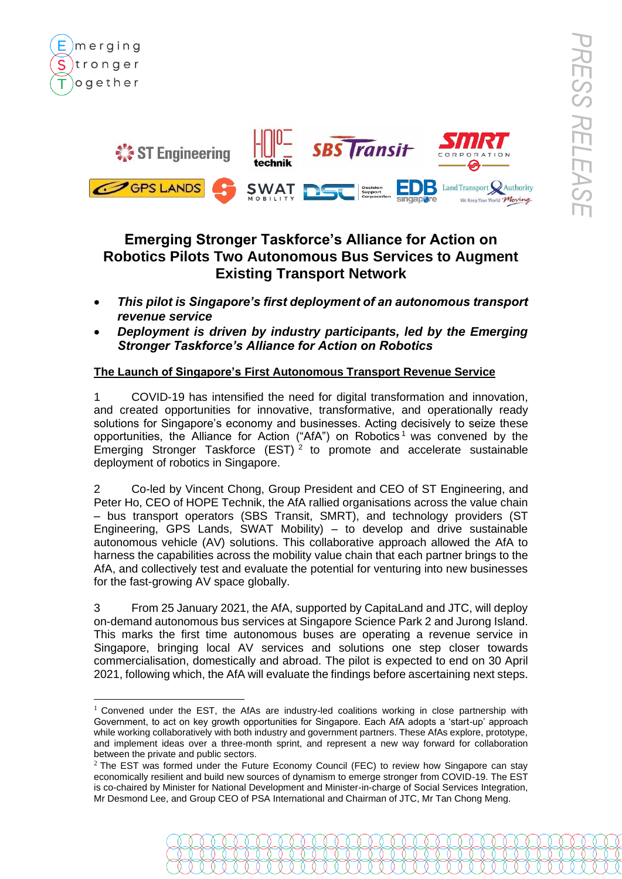

merging

tronger ogether

# **Emerging Stronger Taskforce's Alliance for Action on Robotics Pilots Two Autonomous Bus Services to Augment Existing Transport Network**

- *This pilot is Singapore's first deployment of an autonomous transport revenue service*
- *Deployment is driven by industry participants, led by the Emerging Stronger Taskforce's Alliance for Action on Robotics*

## **The Launch of Singapore's First Autonomous Transport Revenue Service**

1 COVID-19 has intensified the need for digital transformation and innovation, and created opportunities for innovative, transformative, and operationally ready solutions for Singapore's economy and businesses. Acting decisively to seize these opportunities, the Alliance for Action ("AfA") on Robotics<sup>1</sup> was convened by the Emerging Stronger Taskforce  $(EST)^2$  to promote and accelerate sustainable deployment of robotics in Singapore.

2 Co-led by Vincent Chong, Group President and CEO of ST Engineering, and Peter Ho, CEO of HOPE Technik, the AfA rallied organisations across the value chain – bus transport operators (SBS Transit, SMRT), and technology providers (ST Engineering, GPS Lands, SWAT Mobility) – to develop and drive sustainable autonomous vehicle (AV) solutions. This collaborative approach allowed the AfA to harness the capabilities across the mobility value chain that each partner brings to the AfA, and collectively test and evaluate the potential for venturing into new businesses for the fast-growing AV space globally.

3 From 25 January 2021, the AfA, supported by CapitaLand and JTC, will deploy on-demand autonomous bus services at Singapore Science Park 2 and Jurong Island. This marks the first time autonomous buses are operating a revenue service in Singapore, bringing local AV services and solutions one step closer towards commercialisation, domestically and abroad. The pilot is expected to end on 30 April 2021, following which, the AfA will evaluate the findings before ascertaining next steps.

 $1$  Convened under the EST, the AfAs are industry-led coalitions working in close partnership with Government, to act on key growth opportunities for Singapore. Each AfA adopts a 'start-up' approach while working collaboratively with both industry and government partners. These AfAs explore, prototype, and implement ideas over a three-month sprint, and represent a new way forward for collaboration between the private and public sectors.

 $2$  The EST was formed under the Future Economy Council (FEC) to review how Singapore can stay economically resilient and build new sources of dynamism to emerge stronger from COVID-19. The EST is co-chaired by Minister for National Development and Minister-in-charge of Social Services Integration, Mr Desmond Lee, and Group CEO of PSA International and Chairman of JTC, Mr Tan Chong Meng.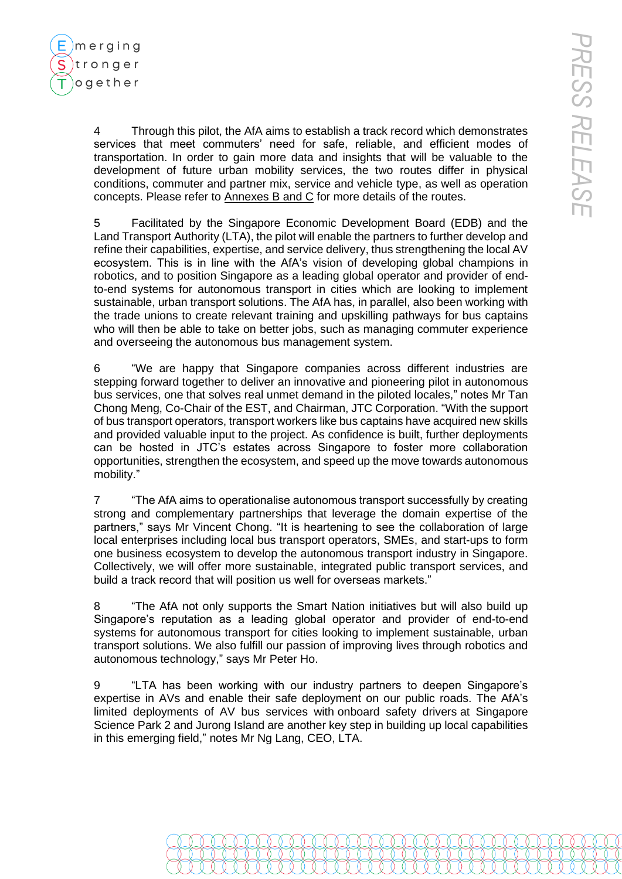

4 Through this pilot, the AfA aims to establish a track record which demonstrates services that meet commuters' need for safe, reliable, and efficient modes of transportation. In order to gain more data and insights that will be valuable to the development of future urban mobility services, the two routes differ in physical conditions, commuter and partner mix, service and vehicle type, as well as operation concepts. Please refer to Annexes B and C for more details of the routes.

5 Facilitated by the Singapore Economic Development Board (EDB) and the Land Transport Authority (LTA), the pilot will enable the partners to further develop and refine their capabilities, expertise, and service delivery, thus strengthening the local AV ecosystem. This is in line with the AfA's vision of developing global champions in robotics, and to position Singapore as a leading global operator and provider of endto-end systems for autonomous transport in cities which are looking to implement sustainable, urban transport solutions. The AfA has, in parallel, also been working with the trade unions to create relevant training and upskilling pathways for bus captains who will then be able to take on better jobs, such as managing commuter experience and overseeing the autonomous bus management system.

6 "We are happy that Singapore companies across different industries are stepping forward together to deliver an innovative and pioneering pilot in autonomous bus services, one that solves real unmet demand in the piloted locales," notes Mr Tan Chong Meng, Co-Chair of the EST, and Chairman, JTC Corporation. "With the support of bus transport operators, transport workers like bus captains have acquired new skills and provided valuable input to the project. As confidence is built, further deployments can be hosted in JTC's estates across Singapore to foster more collaboration opportunities, strengthen the ecosystem, and speed up the move towards autonomous mobility."

7 "The AfA aims to operationalise autonomous transport successfully by creating strong and complementary partnerships that leverage the domain expertise of the partners," says Mr Vincent Chong. "It is heartening to see the collaboration of large local enterprises including local bus transport operators, SMEs, and start-ups to form one business ecosystem to develop the autonomous transport industry in Singapore. Collectively, we will offer more sustainable, integrated public transport services, and build a track record that will position us well for overseas markets."

8 "The AfA not only supports the Smart Nation initiatives but will also build up Singapore's reputation as a leading global operator and provider of end-to-end systems for autonomous transport for cities looking to implement sustainable, urban transport solutions. We also fulfill our passion of improving lives through robotics and autonomous technology," says Mr Peter Ho.

9 "LTA has been working with our industry partners to deepen Singapore's expertise in AVs and enable their safe deployment on our public roads. The AfA's limited deployments of AV bus services with onboard safety drivers at Singapore Science Park 2 and Jurong Island are another key step in building up local capabilities in this emerging field," notes Mr Ng Lang, CEO, LTA.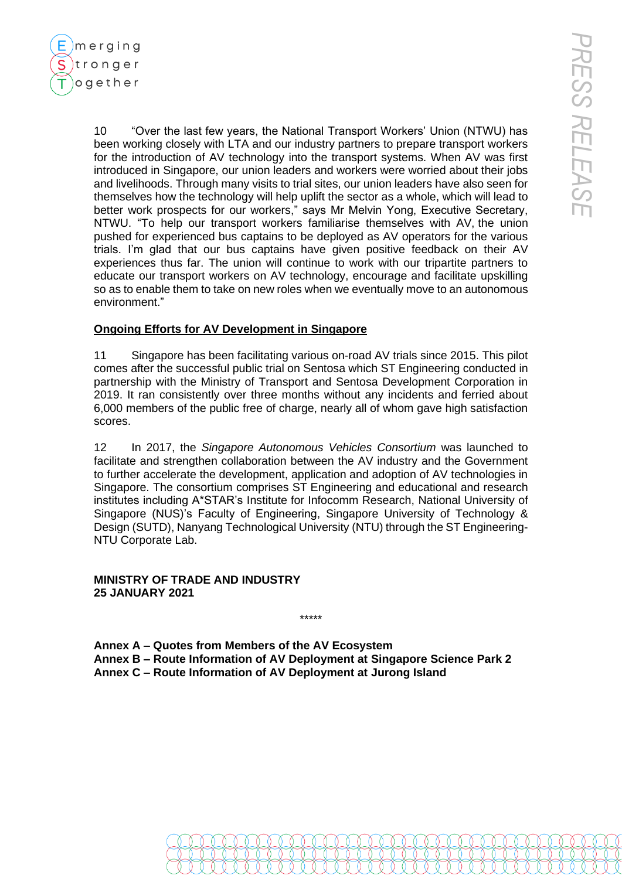merging tronger ogether

> 10 "Over the last few years, the National Transport Workers' Union (NTWU) has been working closely with LTA and our industry partners to prepare transport workers for the introduction of AV technology into the transport systems. When AV was first introduced in Singapore, our union leaders and workers were worried about their jobs and livelihoods. Through many visits to trial sites, our union leaders have also seen for themselves how the technology will help uplift the sector as a whole, which will lead to better work prospects for our workers," says Mr Melvin Yong, Executive Secretary, NTWU. "To help our transport workers familiarise themselves with AV, the union pushed for experienced bus captains to be deployed as AV operators for the various trials. I'm glad that our bus captains have given positive feedback on their AV experiences thus far. The union will continue to work with our tripartite partners to educate our transport workers on AV technology, encourage and facilitate upskilling so as to enable them to take on new roles when we eventually move to an autonomous environment."

## **Ongoing Efforts for AV Development in Singapore**

11 Singapore has been facilitating various on-road AV trials since 2015. This pilot comes after the successful public trial on Sentosa which ST Engineering conducted in partnership with the Ministry of Transport and Sentosa Development Corporation in 2019. It ran consistently over three months without any incidents and ferried about 6,000 members of the public free of charge, nearly all of whom gave high satisfaction scores.

12 In 2017, the *Singapore Autonomous Vehicles Consortium* was launched to facilitate and strengthen collaboration between the AV industry and the Government to further accelerate the development, application and adoption of AV technologies in Singapore. The consortium comprises ST Engineering and educational and research institutes including A\*STAR's Institute for Infocomm Research, National University of Singapore (NUS)'s Faculty of Engineering, Singapore University of Technology & Design (SUTD), Nanyang Technological University (NTU) through the ST Engineering-NTU Corporate Lab.

#### **MINISTRY OF TRADE AND INDUSTRY 25 JANUARY 2021**

**Annex A – Quotes from Members of the AV Ecosystem Annex B – Route Information of AV Deployment at Singapore Science Park 2 Annex C – Route Information of AV Deployment at Jurong Island**

\*\*\*\*\*

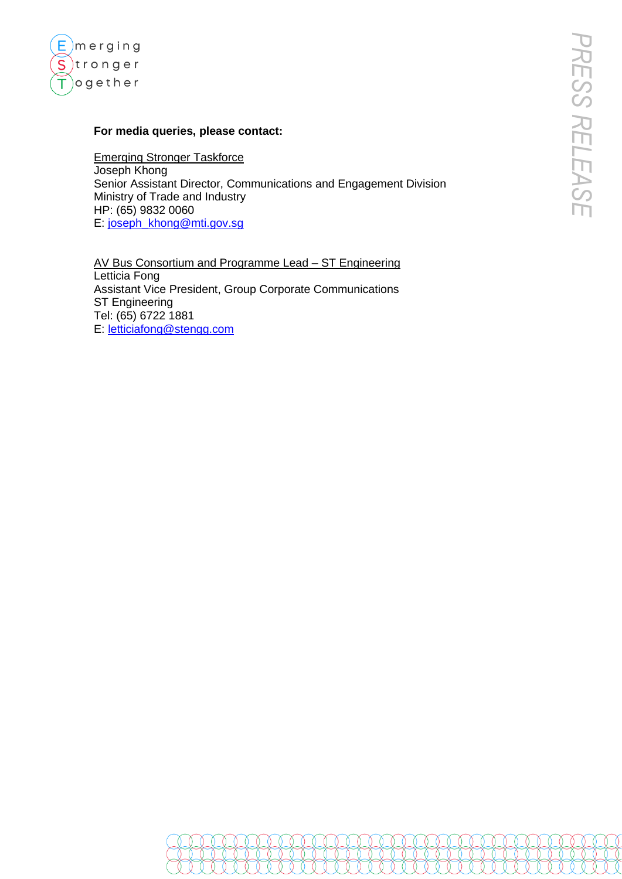

#### **For media queries, please contact:**

Emerging Stronger Taskforce Joseph Khong Senior Assistant Director, Communications and Engagement Division Ministry of Trade and Industry HP: (65) 9832 0060 E: [joseph\\_khong@mti.gov.sg](mailto:joseph_khong@mti.gov.sg)

AV Bus Consortium and Programme Lead – ST Engineering Letticia Fong Assistant Vice President, Group Corporate Communications ST Engineering Tel: (65) 6722 1881 E: [letticiafong@stengg.com](mailto:letticiafong@stengg.com)

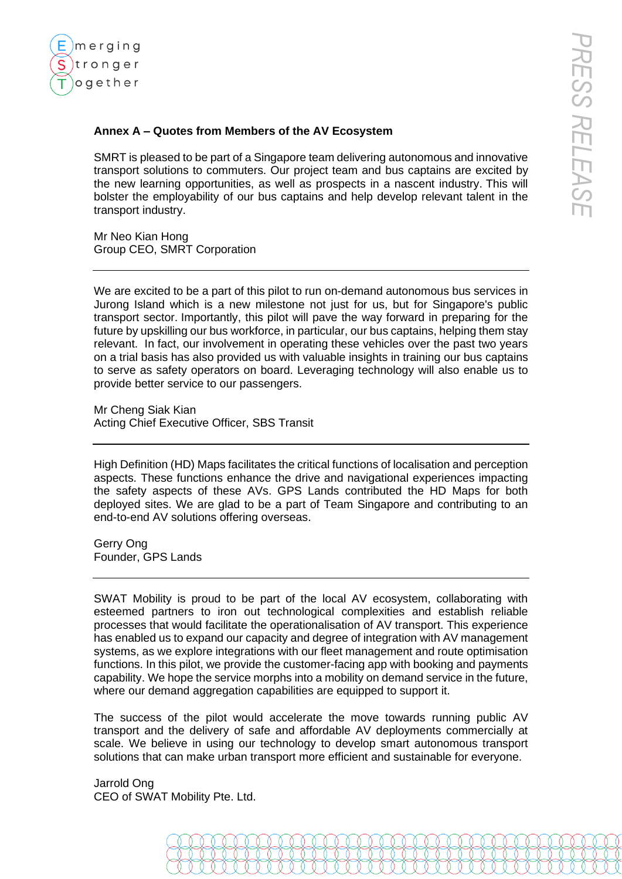

#### **Annex A – Quotes from Members of the AV Ecosystem**

SMRT is pleased to be part of a Singapore team delivering autonomous and innovative transport solutions to commuters. Our project team and bus captains are excited by the new learning opportunities, as well as prospects in a nascent industry. This will bolster the employability of our bus captains and help develop relevant talent in the transport industry.

Mr Neo Kian Hong Group CEO, SMRT Corporation

We are excited to be a part of this pilot to run on-demand autonomous bus services in Jurong Island which is a new milestone not just for us, but for Singapore's public transport sector. Importantly, this pilot will pave the way forward in preparing for the future by upskilling our bus workforce, in particular, our bus captains, helping them stay relevant. In fact, our involvement in operating these vehicles over the past two years on a trial basis has also provided us with valuable insights in training our bus captains to serve as safety operators on board. Leveraging technology will also enable us to provide better service to our passengers.

Mr Cheng Siak Kian Acting Chief Executive Officer, SBS Transit

High Definition (HD) Maps facilitates the critical functions of localisation and perception aspects. These functions enhance the drive and navigational experiences impacting the safety aspects of these AVs. GPS Lands contributed the HD Maps for both deployed sites. We are glad to be a part of Team Singapore and contributing to an end-to-end AV solutions offering overseas.

Gerry Ong Founder, GPS Lands

SWAT Mobility is proud to be part of the local AV ecosystem, collaborating with esteemed partners to iron out technological complexities and establish reliable processes that would facilitate the operationalisation of AV transport. This experience has enabled us to expand our capacity and degree of integration with AV management systems, as we explore integrations with our fleet management and route optimisation functions. In this pilot, we provide the customer-facing app with booking and payments capability. We hope the service morphs into a mobility on demand service in the future, where our demand aggregation capabilities are equipped to support it.

The success of the pilot would accelerate the move towards running public AV transport and the delivery of safe and affordable AV deployments commercially at scale. We believe in using our technology to develop smart autonomous transport solutions that can make urban transport more efficient and sustainable for everyone.

Jarrold Ong CEO of SWAT Mobility Pte. Ltd.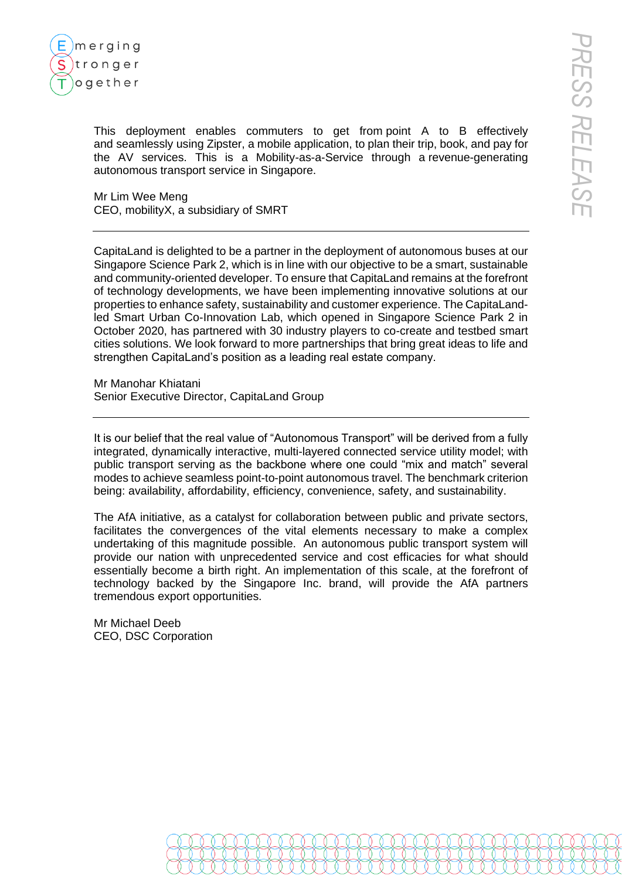

This deployment enables commuters to get from point A to B effectively and seamlessly using Zipster, a mobile application, to plan their trip, book, and pay for the AV services. This is a Mobility-as-a-Service through a revenue-generating autonomous transport service in Singapore.

Mr Lim Wee Meng CEO, mobilityX, a subsidiary of SMRT

CapitaLand is delighted to be a partner in the deployment of autonomous buses at our Singapore Science Park 2, which is in line with our objective to be a smart, sustainable and community-oriented developer. To ensure that CapitaLand remains at the forefront of technology developments, we have been implementing innovative solutions at our properties to enhance safety, sustainability and customer experience. The CapitaLandled Smart Urban Co-Innovation Lab, which opened in Singapore Science Park 2 in October 2020, has partnered with 30 industry players to co-create and testbed smart cities solutions. We look forward to more partnerships that bring great ideas to life and strengthen CapitaLand's position as a leading real estate company.

Mr Manohar Khiatani Senior Executive Director, CapitaLand Group

It is our belief that the real value of "Autonomous Transport" will be derived from a fully integrated, dynamically interactive, multi-layered connected service utility model; with public transport serving as the backbone where one could "mix and match" several modes to achieve seamless point-to-point autonomous travel. The benchmark criterion being: availability, affordability, efficiency, convenience, safety, and sustainability.

The AfA initiative, as a catalyst for collaboration between public and private sectors, facilitates the convergences of the vital elements necessary to make a complex undertaking of this magnitude possible. An autonomous public transport system will provide our nation with unprecedented service and cost efficacies for what should essentially become a birth right. An implementation of this scale, at the forefront of technology backed by the Singapore Inc. brand, will provide the AfA partners tremendous export opportunities.

Mr Michael Deeb CEO, DSC Corporation

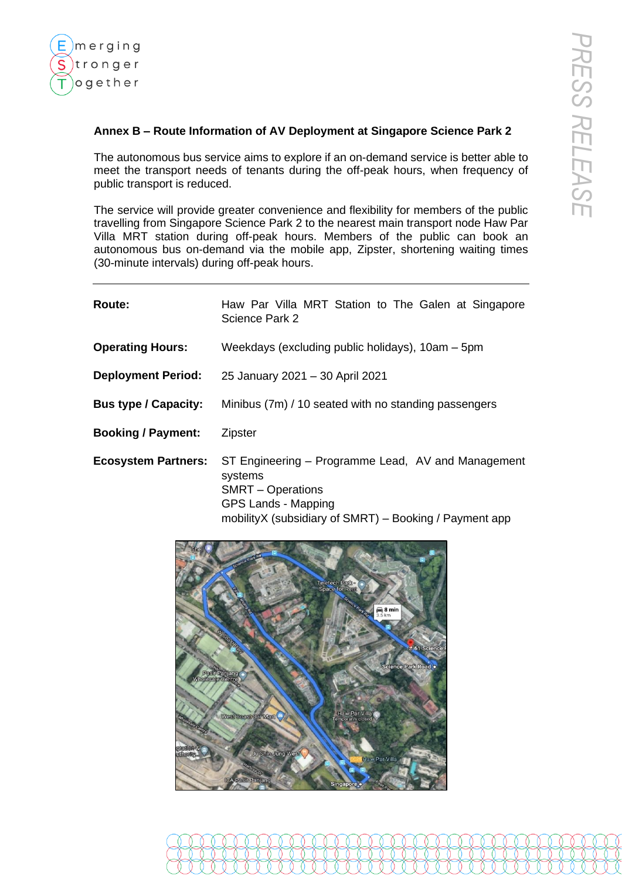

### **Annex B – Route Information of AV Deployment at Singapore Science Park 2**

The autonomous bus service aims to explore if an on-demand service is better able to meet the transport needs of tenants during the off-peak hours, when frequency of public transport is reduced.

The service will provide greater convenience and flexibility for members of the public travelling from Singapore Science Park 2 to the nearest main transport node Haw Par Villa MRT station during off-peak hours. Members of the public can book an autonomous bus on-demand via the mobile app, Zipster, shortening waiting times (30-minute intervals) during off-peak hours.

| Route:                      | Haw Par Villa MRT Station to The Galen at Singapore<br>Science Park 2                                                                                                             |
|-----------------------------|-----------------------------------------------------------------------------------------------------------------------------------------------------------------------------------|
| <b>Operating Hours:</b>     | Weekdays (excluding public holidays), 10am – 5pm                                                                                                                                  |
| <b>Deployment Period:</b>   | 25 January 2021 - 30 April 2021                                                                                                                                                   |
| <b>Bus type / Capacity:</b> | Minibus (7m) / 10 seated with no standing passengers                                                                                                                              |
| <b>Booking / Payment:</b>   | <b>Zipster</b>                                                                                                                                                                    |
| <b>Ecosystem Partners:</b>  | ST Engineering – Programme Lead, AV and Management<br>systems<br><b>SMRT</b> – Operations<br><b>GPS Lands - Mapping</b><br>mobilityX (subsidiary of SMRT) – Booking / Payment app |